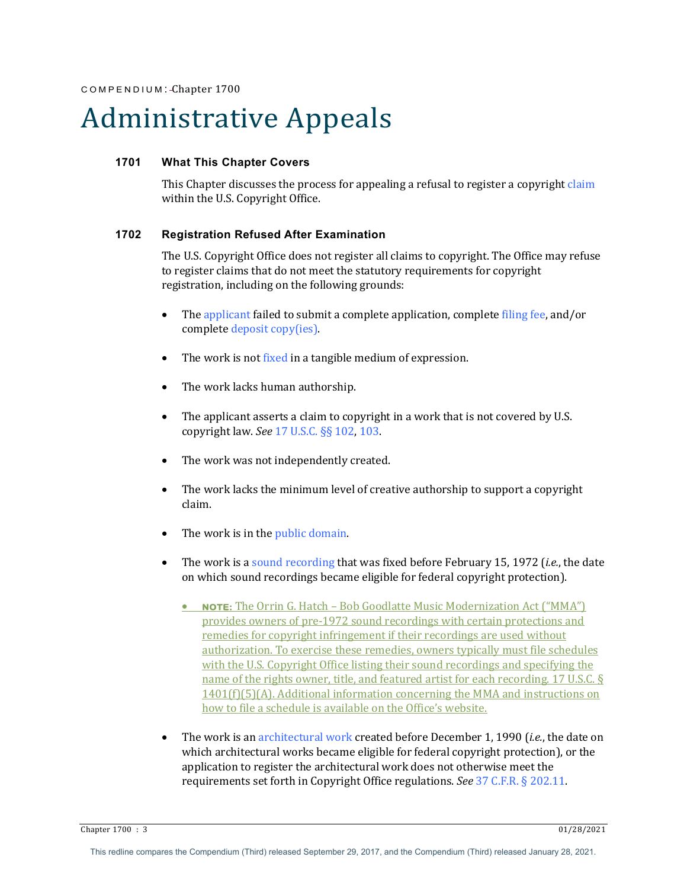# Administrative Appeals

## **1701 What This Chapter Covers**

This Chapter discusses the process for appealing a refusal to register a copyright claim within the U.S. Copyright Office.

# **1702 Registration Refused After Examination**

The U.S. Copyright Office does not register all claims to copyright. The Office may refuse to register claims that do not meet the statutory requirements for copyright registration, including on the following grounds:

- The applicant failed to submit a complete application, complete filing fee, and/or complete deposit copy(ies).
- The work is not fixed in a tangible medium of expression.
- The work lacks human authorship.
- The applicant asserts a claim to copyright in a work that is not covered by U.S. copyright law. See 17 U.S.C. §§ 102, 103.
- The work was not independently created.
- The work lacks the minimum level of creative authorship to support a copyright claim.
- The work is in the public domain.
- The work is a sound recording that was fixed before February 15, 1972 (*i.e.*, the date on which sound recordings became eligible for federal copyright protection).
	- **NOTE:** The Orrin G. Hatch Bob Goodlatte Music Modernization Act ("MMA") provides owners of pre-1972 sound recordings with certain protections and remedies for copyright infringement if their recordings are used without authorization. To exercise these remedies, owners typically must file schedules with the U.S. Copyright Office listing their sound recordings and specifying the name of the rights owner, title, and featured artist for each recording. 17 U.S.C.  $\S$  $1401(f)(5)(A)$ . Additional information concerning the MMA and instructions on how to file a schedule is available on the Office's website.
- The work is an architectural work created before December 1, 1990 *(i.e.*, the date on which architectural works became eligible for federal copyright protection), or the application to register the architectural work does not otherwise meet the requirements set forth in Copyright Office regulations. *See* 37 C.F.R. § 202.11.

Chapter 1700 : 3 01/28/2021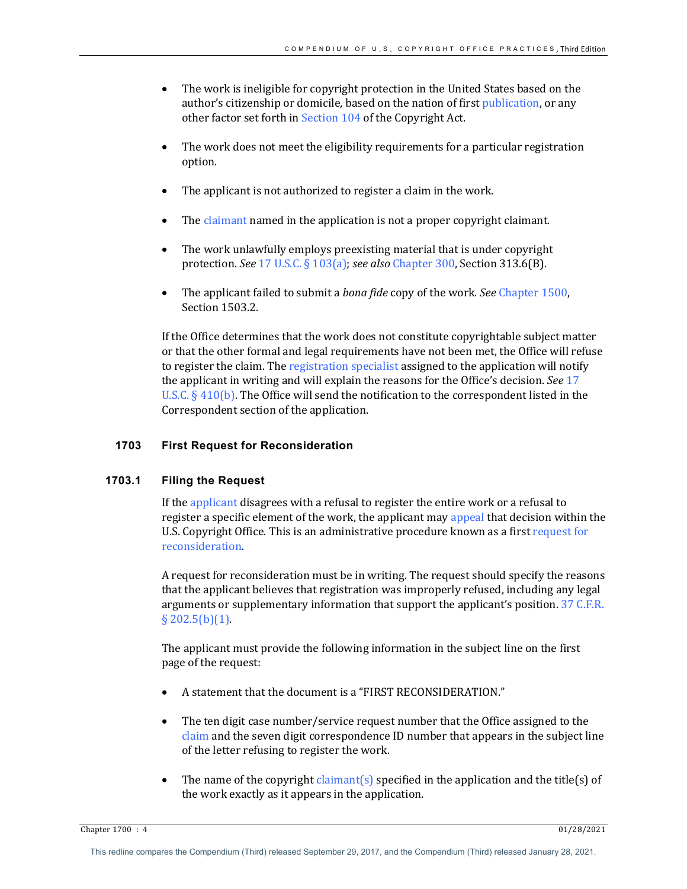- The work is ineligible for copyright protection in the United States based on the author's citizenship or domicile, based on the nation of first publication, or any other factor set forth in Section 104 of the Copyright Act.
- The work does not meet the eligibility requirements for a particular registration option.
- The applicant is not authorized to register a claim in the work.
- The claimant named in the application is not a proper copyright claimant.
- The work unlawfully employs preexisting material that is under copyright protection. *See* 17 U.S.C. § 103(a); *see also* Chapter 300, Section 313.6(B).
- The applicant failed to submit a *bona fide* copy of the work. *See* Chapter 1500, Section 1503.2.

If the Office determines that the work does not constitute copyrightable subject matter or that the other formal and legal requirements have not been met, the Office will refuse to register the claim. The registration specialist assigned to the application will notify the applicant in writing and will explain the reasons for the Office's decision. *See* 17 U.S.C.  $\S$  410(b). The Office will send the notification to the correspondent listed in the Correspondent section of the application.

## **1703 First Request for Reconsideration**

#### **1703.1 Filing the Request**

If the applicant disagrees with a refusal to register the entire work or a refusal to register a specific element of the work, the applicant may appeal that decision within the U.S. Copyright Office. This is an administrative procedure known as a first request for reconsideration. 

A request for reconsideration must be in writing. The request should specify the reasons that the applicant believes that registration was improperly refused, including any legal arguments or supplementary information that support the applicant's position. 37 C.F.R.  $§$  202.5(b)(1).

The applicant must provide the following information in the subject line on the first page of the request:

- A statement that the document is a "FIRST RECONSIDERATION."
- The ten digit case number/service request number that the Office assigned to the claim and the seven digit correspondence ID number that appears in the subject line of the letter refusing to register the work.
- The name of the copyright claimant(s) specified in the application and the title(s) of the work exactly as it appears in the application.

 $\frac{61}{28/2021}$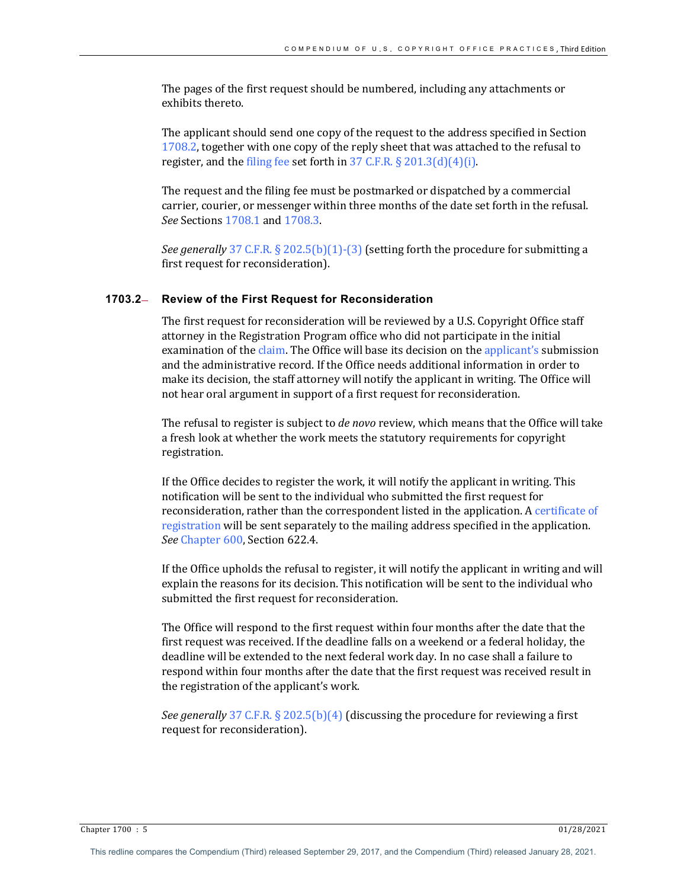The pages of the first request should be numbered, including any attachments or exhibits thereto.

The applicant should send one copy of the request to the address specified in Section  $1708.2$ , together with one copy of the reply sheet that was attached to the refusal to register, and the filing fee set forth in 37 C.F.R.  $\S 201.3(d)(4)(i)$ .

The request and the filing fee must be postmarked or dispatched by a commercial carrier, courier, or messenger within three months of the date set forth in the refusal. *See* Sections 1708.1 and 1708.3.

*See generally* 37 C.F.R. § 202.5(b)(1)-(3) (setting forth the procedure for submitting a first request for reconsideration).

#### **1703.2 Review of the First Request for Reconsideration**

The first request for reconsideration will be reviewed by a U.S. Copyright Office staff attorney in the Registration Program office who did not participate in the initial examination of the claim. The Office will base its decision on the applicant's submission and the administrative record. If the Office needs additional information in order to make its decision, the staff attorney will notify the applicant in writing. The Office will not hear oral argument in support of a first request for reconsideration.

The refusal to register is subject to *de novo* review, which means that the Office will take a fresh look at whether the work meets the statutory requirements for copyright registration.

If the Office decides to register the work, it will notify the applicant in writing. This notification will be sent to the individual who submitted the first request for reconsideration, rather than the correspondent listed in the application. A certificate of registration will be sent separately to the mailing address specified in the application. See Chapter 600, Section 622.4.

If the Office upholds the refusal to register, it will notify the applicant in writing and will explain the reasons for its decision. This notification will be sent to the individual who submitted the first request for reconsideration.

The Office will respond to the first request within four months after the date that the first request was received. If the deadline falls on a weekend or a federal holiday, the deadline will be extended to the next federal work day. In no case shall a failure to respond within four months after the date that the first request was received result in the registration of the applicant's work.

*See generally* 37 C.F.R. § 202.5(b)(4) (discussing the procedure for reviewing a first request for reconsideration).

Chapter 1700 : 5 01/28/2021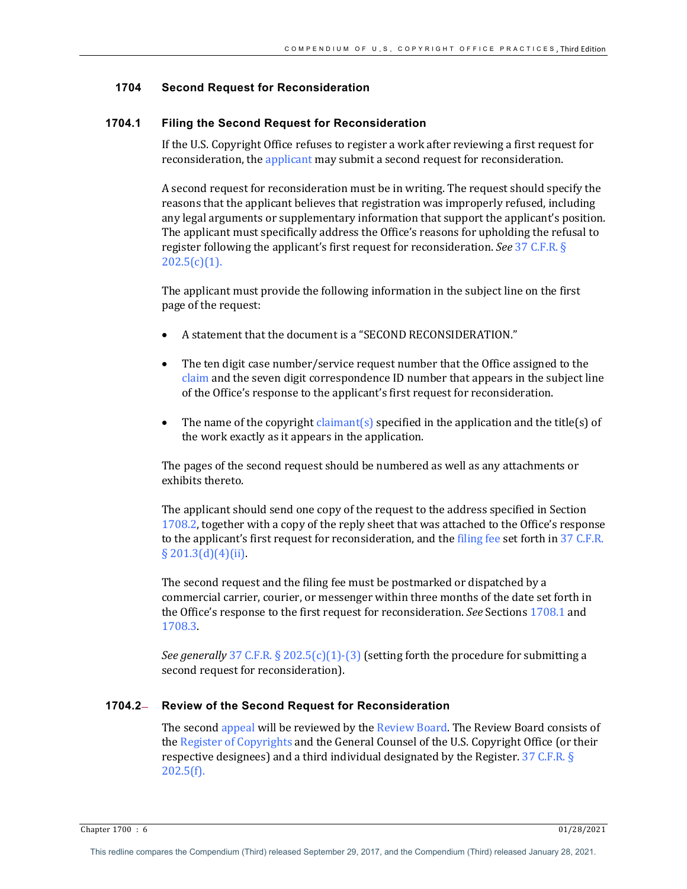## **1704 Second Request for Reconsideration**

#### **1704.1 Filing the Second Request for Reconsideration**

If the U.S. Copyright Office refuses to register a work after reviewing a first request for reconsideration, the applicant may submit a second request for reconsideration.

A second request for reconsideration must be in writing. The request should specify the reasons that the applicant believes that registration was improperly refused, including any legal arguments or supplementary information that support the applicant's position. The applicant must specifically address the Office's reasons for upholding the refusal to register following the applicant's first request for reconsideration. *See* 37 C.F.R. §  $202.5(c)(1)$ .

The applicant must provide the following information in the subject line on the first page of the request:

- A statement that the document is a "SECOND RECONSIDERATION."
- The ten digit case number/service request number that the Office assigned to the claim and the seven digit correspondence ID number that appears in the subject line of the Office's response to the applicant's first request for reconsideration.
- The name of the copyright claimant(s) specified in the application and the title(s) of the work exactly as it appears in the application.

The pages of the second request should be numbered as well as any attachments or exhibits thereto.

The applicant should send one copy of the request to the address specified in Section 1708.2, together with a copy of the reply sheet that was attached to the Office's response to the applicant's first request for reconsideration, and the filing fee set forth in  $37$  C.F.R.  $§$  201.3(d)(4)(ii).

The second request and the filing fee must be postmarked or dispatched by a commercial carrier, courier, or messenger within three months of the date set forth in the Office's response to the first request for reconsideration. *See* Sections 1708.1 and 1708.3.

*See generally* 37 C.F.R. § 202.5(c)(1)-(3) (setting forth the procedure for submitting a second request for reconsideration).

#### **1704.2 Review of the Second Request for Reconsideration**

The second appeal will be reviewed by the Review Board. The Review Board consists of the Register of Copyrights and the General Counsel of the U.S. Copyright Office (or their respective designees) and a third individual designated by the Register.  $37$  C.F.R. § 202.5(f).

```
Chapter 1700 : 6 01/28/2021
```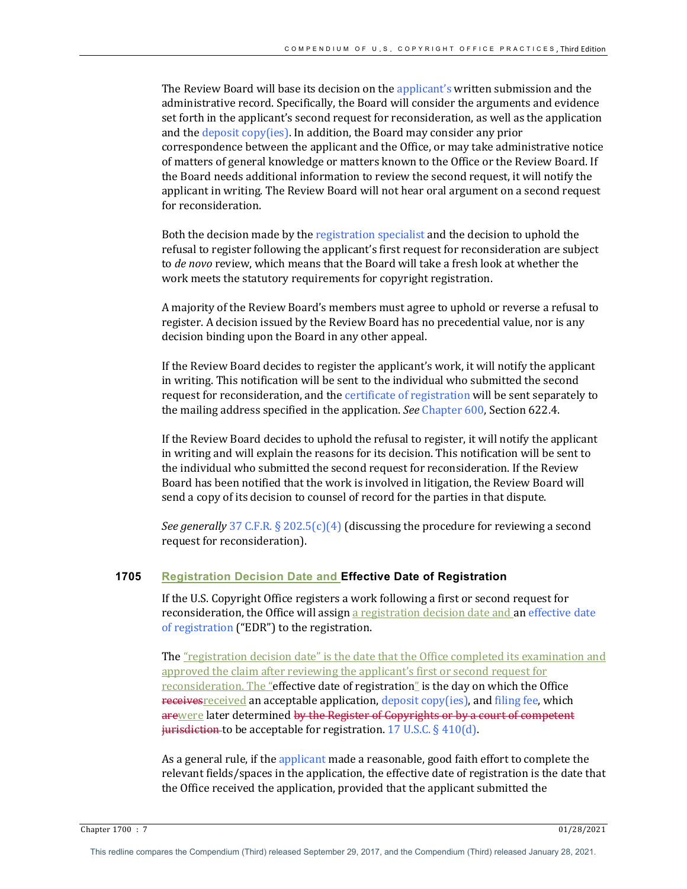The Review Board will base its decision on the applicant's written submission and the administrative record. Specifically, the Board will consider the arguments and evidence set forth in the applicant's second request for reconsideration, as well as the application and the deposit copy(ies). In addition, the Board may consider any prior correspondence between the applicant and the Office, or may take administrative notice of matters of general knowledge or matters known to the Office or the Review Board. If the Board needs additional information to review the second request, it will notify the applicant in writing. The Review Board will not hear oral argument on a second request for reconsideration.

Both the decision made by the registration specialist and the decision to uphold the refusal to register following the applicant's first request for reconsideration are subject to *de novo* review, which means that the Board will take a fresh look at whether the work meets the statutory requirements for copyright registration.

A majority of the Review Board's members must agree to uphold or reverse a refusal to register. A decision issued by the Review Board has no precedential value, nor is any decision binding upon the Board in any other appeal.

If the Review Board decides to register the applicant's work, it will notify the applicant in writing. This notification will be sent to the individual who submitted the second request for reconsideration, and the certificate of registration will be sent separately to the mailing address specified in the application. See Chapter 600, Section 622.4.

If the Review Board decides to uphold the refusal to register, it will notify the applicant in writing and will explain the reasons for its decision. This notification will be sent to the individual who submitted the second request for reconsideration. If the Review Board has been notified that the work is involved in litigation, the Review Board will send a copy of its decision to counsel of record for the parties in that dispute.

*See generally* 37 C.F.R. § 202.5(c)(4) (discussing the procedure for reviewing a second request for reconsideration).

## **1705 Registration Decision Date and Effective Date of Registration**

If the U.S. Copyright Office registers a work following a first or second request for reconsideration, the Office will assign a registration decision date and an effective date of registration ("EDR") to the registration.

The "registration decision date" is the date that the Office completed its examination and approved the claim after reviewing the applicant's first or second request for reconsideration. The "effective date of registration" is the day on which the Office receives received an acceptable application, deposit  $\text{copy}$  (ies), and filing fee, which arewere later determined by the Register of Copyrights or by a court of competent jurisdiction to be acceptable for registration. 17 U.S.C.  $\S$  410(d).

As a general rule, if the applicant made a reasonable, good faith effort to complete the relevant fields/spaces in the application, the effective date of registration is the date that the Office received the application, provided that the applicant submitted the

Chapter 1700 : 7 01/28/2021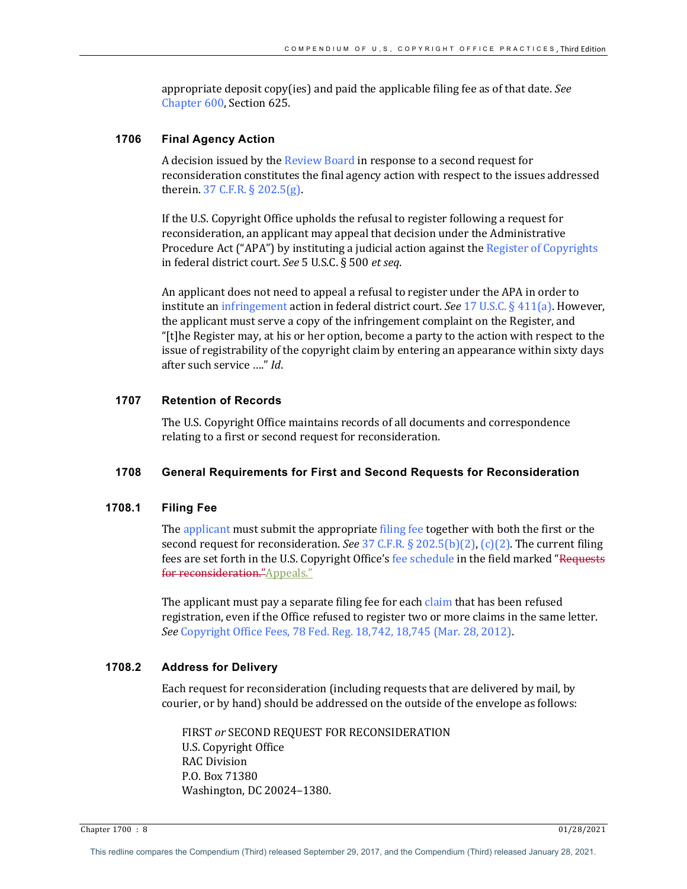appropriate deposit copy(ies) and paid the applicable filing fee as of that date. *See* Chapter 600, Section 625.

#### **1706 Final Agency Action**

A decision issued by the Review Board in response to a second request for reconsideration constitutes the final agency action with respect to the issues addressed therein.  $37$  C.F.R.  $\S 202.5(g)$ .

If the U.S. Copyright Office upholds the refusal to register following a request for reconsideration, an applicant may appeal that decision under the Administrative Procedure Act ("APA") by instituting a judicial action against the Register of Copyrights in federal district court. See 5 U.S.C. § 500 et seq.

An applicant does not need to appeal a refusal to register under the APA in order to institute an infringement action in federal district court. *See* 17 U.S.C. § 411(a). However, the applicant must serve a copy of the infringement complaint on the Register, and "[t]he Register may, at his or her option, become a party to the action with respect to the issue of registrability of the copyright claim by entering an appearance within sixty days after such service ...." *Id.* 

#### **1707 Retention of Records**

The U.S. Copyright Office maintains records of all documents and correspondence relating to a first or second request for reconsideration.

## **1708 General Requirements for First and Second Requests for Reconsideration**

# **1708.1 Filing Fee**

The applicant must submit the appropriate filing fee together with both the first or the second request for reconsideration. *See* 37 C.F.R. § 202.5(b)(2), (c)(2). The current filing fees are set forth in the U.S. Copyright Office's fee schedule in the field marked "Requests for reconsideration." Appeals."

The applicant must pay a separate filing fee for each claim that has been refused registration, even if the Office refused to register two or more claims in the same letter. *See* Copyright Office Fees, 78 Fed. Reg. 18,742, 18,745 (Mar. 28, 2012).

## **1708.2 Address for Delivery**

Each request for reconsideration (including requests that are delivered by mail, by courier, or by hand) should be addressed on the outside of the envelope as follows:

FIRST or SECOND REQUEST FOR RECONSIDERATION U.S. Copyright Office RAC Division P.O. Box 71380 Washington, DC 20024-1380.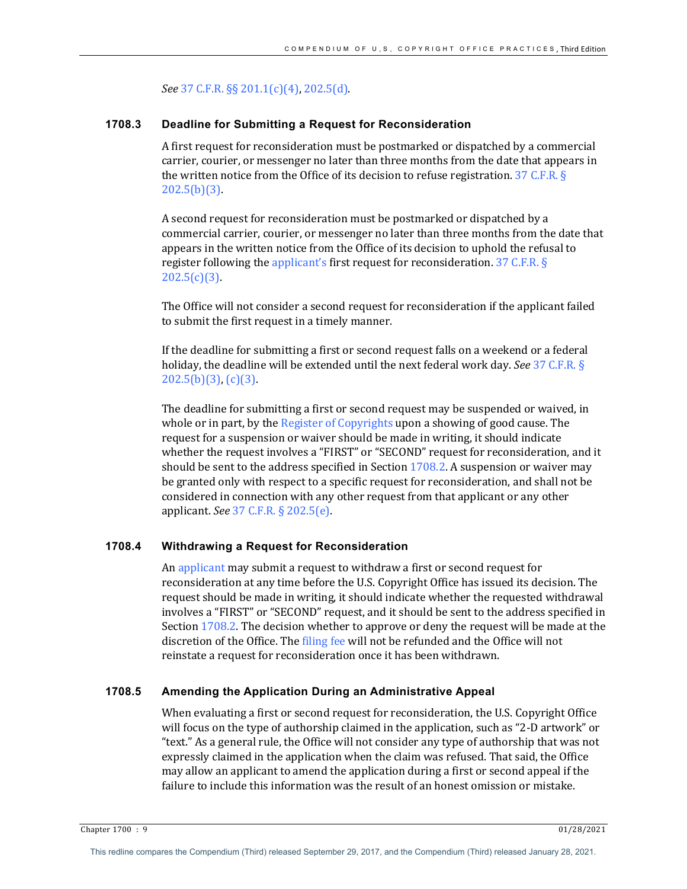#### *See* 37 C.F.R. §§ 201.1(c)(4), 202.5(d).

## **1708.3 Deadline for Submitting a Request for Reconsideration**

A first request for reconsideration must be postmarked or dispatched by a commercial carrier, courier, or messenger no later than three months from the date that appears in the written notice from the Office of its decision to refuse registration.  $37 \text{ C.F.R.}$  §  $202.5(b)(3)$ .

A second request for reconsideration must be postmarked or dispatched by a commercial carrier, courier, or messenger no later than three months from the date that appears in the written notice from the Office of its decision to uphold the refusal to register following the applicant's first request for reconsideration.  $37 \text{ C.F.R. }$  §  $202.5(c)(3)$ .

The Office will not consider a second request for reconsideration if the applicant failed to submit the first request in a timely manner.

If the deadline for submitting a first or second request falls on a weekend or a federal holiday, the deadline will be extended until the next federal work day. See 37 C.F.R. §  $202.5(b)(3)$ , (c)(3).

The deadline for submitting a first or second request may be suspended or waived, in whole or in part, by the Register of Copyrights upon a showing of good cause. The request for a suspension or waiver should be made in writing, it should indicate whether the request involves a "FIRST" or "SECOND" request for reconsideration, and it should be sent to the address specified in Section  $1708.2$ . A suspension or waiver may be granted only with respect to a specific request for reconsideration, and shall not be considered in connection with any other request from that applicant or any other applicant. *See* 37 C.F.R. § 202.5(e).

## **1708.4 Withdrawing a Request for Reconsideration**

An applicant may submit a request to withdraw a first or second request for reconsideration at any time before the U.S. Copyright Office has issued its decision. The request should be made in writing, it should indicate whether the requested withdrawal involves a "FIRST" or "SECOND" request, and it should be sent to the address specified in Section  $1708.2$ . The decision whether to approve or deny the request will be made at the discretion of the Office. The filing fee will not be refunded and the Office will not reinstate a request for reconsideration once it has been withdrawn.

# **1708.5 Amending the Application During an Administrative Appeal**

When evaluating a first or second request for reconsideration, the U.S. Copyright Office will focus on the type of authorship claimed in the application, such as "2-D artwork" or "text." As a general rule, the Office will not consider any type of authorship that was not expressly claimed in the application when the claim was refused. That said, the Office may allow an applicant to amend the application during a first or second appeal if the failure to include this information was the result of an honest omission or mistake.